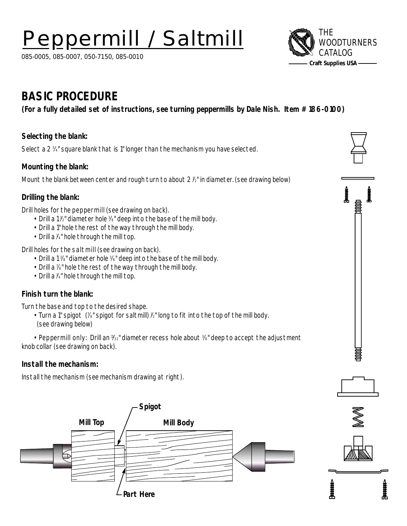# **Peppermill / Saltmill**  $\bigotimes_{w \circ c} THE$

085-0005, 085-0007, 050-7150, 085-0010



## **BASIC PROCEDURE**

**(For a fully detailed set of instructions, see turning peppermills by Dale Nish. Item # 186-0100)**

### **Selecting the blank:**

Select a 2 3 ⁄4" square blank that is 1" longer than the mechanism you have selected.

#### **Mounting the blank:**

Mount the blank between center and rough turn to about 2  $\nu$  in diameter. (see drawing below)

#### **Drilling the blank:**

Drill holes for the peppermill (see drawing on back).

- Drill a 1 ½" diameter hole 3%" deep into the base of the mill body.
- Drill a 1" hole the rest of the way through the mill body.
- $\cdot \,$  Drill a  $\mathbb{Y}^{\scriptscriptstyle{\mathsf{u}}}$  hole through the mill top.

Drill holes for the saltmill (see drawing on back).

- Drill a 1 %" diameter hole %" deep into the base of the mill body.
- $\cdot \,$  Drill a 1⁄8" hole the rest of the way through the mill body.
- Drill a  $\mathfrak{Z}^{\ast}$  hole through the mill top.

#### **Finish turn the blank:**

Turn the base and top to the desired shape.

 $\cdot$  Turn a 1" spigot (%" spigot for saltmill) ½" long to fit into the top of the mill body. (see drawing below)

• Peppermill only: Drill an 1⁄32" diameter recess hole about  $\frac{3}{6}$ " deep to accept the adjustment knob collar (see drawing on back).

#### **Install the mechanism:**

Install the mechanism (see mechanism drawing at right).













**Japane**